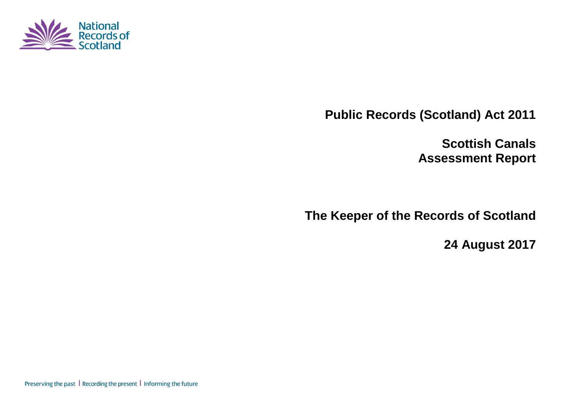

**Public Records (Scotland) Act 2011**

**Scottish Canals Assessment Report**

**The Keeper of the Records of Scotland**

**24 August 2017**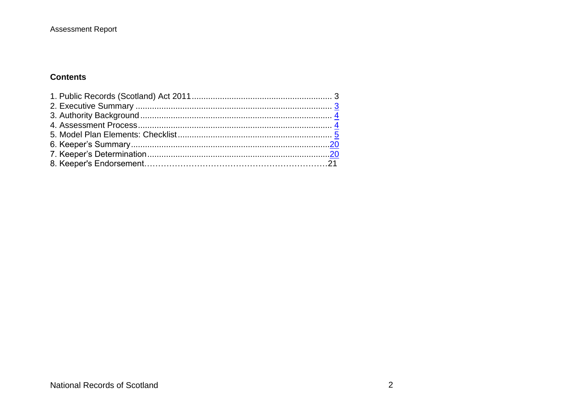#### **Contents**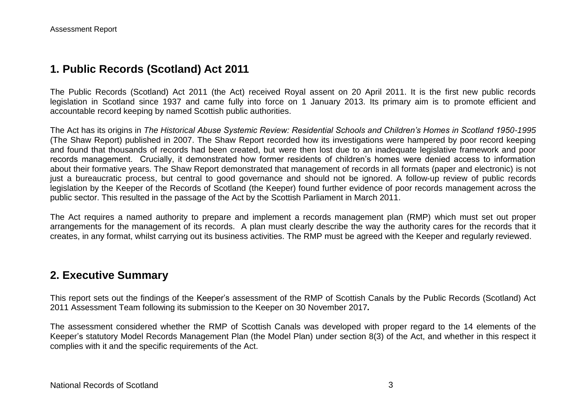### **1. Public Records (Scotland) Act 2011**

The Public Records (Scotland) Act 2011 (the Act) received Royal assent on 20 April 2011. It is the first new public records legislation in Scotland since 1937 and came fully into force on 1 January 2013. Its primary aim is to promote efficient and accountable record keeping by named Scottish public authorities.

The Act has its origins in *The Historical Abuse Systemic Review: Residential Schools and Children's Homes in Scotland 1950-1995* (The Shaw Report) published in 2007. The Shaw Report recorded how its investigations were hampered by poor record keeping and found that thousands of records had been created, but were then lost due to an inadequate legislative framework and poor records management. Crucially, it demonstrated how former residents of children's homes were denied access to information about their formative years. The Shaw Report demonstrated that management of records in all formats (paper and electronic) is not just a bureaucratic process, but central to good governance and should not be ignored. A follow-up review of public records legislation by the Keeper of the Records of Scotland (the Keeper) found further evidence of poor records management across the public sector. This resulted in the passage of the Act by the Scottish Parliament in March 2011.

The Act requires a named authority to prepare and implement a records management plan (RMP) which must set out proper arrangements for the management of its records. A plan must clearly describe the way the authority cares for the records that it creates, in any format, whilst carrying out its business activities. The RMP must be agreed with the Keeper and regularly reviewed.

#### **2. Executive Summary**

This report sets out the findings of the Keeper's assessment of the RMP of Scottish Canals by the Public Records (Scotland) Act 2011 Assessment Team following its submission to the Keeper on 30 November 2017*.*

The assessment considered whether the RMP of Scottish Canals was developed with proper regard to the 14 elements of the Keeper's statutory Model Records Management Plan (the Model Plan) under section 8(3) of the Act, and whether in this respect it complies with it and the specific requirements of the Act.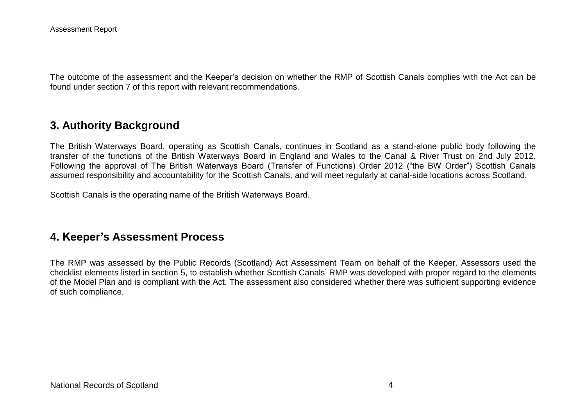The outcome of the assessment and the Keeper's decision on whether the RMP of Scottish Canals complies with the Act can be found under section 7 of this report with relevant recommendations.

### **3. Authority Background**

The British Waterways Board, operating as Scottish Canals, continues in Scotland as a stand-alone public body following the transfer of the functions of the British Waterways Board in England and Wales to the Canal & River Trust on 2nd July 2012. Following the approval of The British Waterways Board (Transfer of Functions) Order 2012 ("the BW Order") Scottish Canals assumed responsibility and accountability for the Scottish Canals, and will meet regularly at canal-side locations across Scotland.

Scottish Canals is the operating name of the British Waterways Board.

### **4. Keeper's Assessment Process**

The RMP was assessed by the Public Records (Scotland) Act Assessment Team on behalf of the Keeper. Assessors used the checklist elements listed in section 5, to establish whether Scottish Canals' RMP was developed with proper regard to the elements of the Model Plan and is compliant with the Act. The assessment also considered whether there was sufficient supporting evidence of such compliance.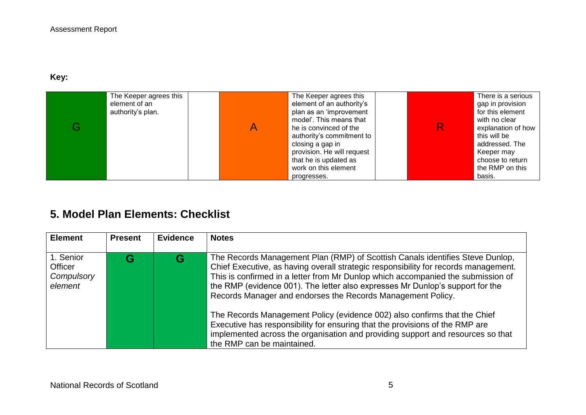#### **Key:**

| The Keeper agrees this<br>element of an<br>authority's plan. | The Keeper agrees this<br>element of an authority's<br>plan as an 'improvement<br>model'. This means that<br>he is convinced of the<br>authority's commitment to<br>closing a gap in<br>provision. He will request<br>that he is updated as | R. | There is a serious<br>gap in provision<br>for this element<br>with no clear<br>explanation of how<br>this will be<br>addressed. The<br>Keeper may<br>choose to return |
|--------------------------------------------------------------|---------------------------------------------------------------------------------------------------------------------------------------------------------------------------------------------------------------------------------------------|----|-----------------------------------------------------------------------------------------------------------------------------------------------------------------------|
|                                                              | work on this element<br>progresses.                                                                                                                                                                                                         |    | the RMP on this<br>basis.                                                                                                                                             |

# **5. Model Plan Elements: Checklist**

| <b>Element</b>                                       | <b>Present</b> | <b>Evidence</b> | <b>Notes</b>                                                                                                                                                                                                                                                                                                                                                                                             |
|------------------------------------------------------|----------------|-----------------|----------------------------------------------------------------------------------------------------------------------------------------------------------------------------------------------------------------------------------------------------------------------------------------------------------------------------------------------------------------------------------------------------------|
|                                                      |                |                 |                                                                                                                                                                                                                                                                                                                                                                                                          |
| 1. Senior<br><b>Officer</b><br>Compulsory<br>element |                |                 | The Records Management Plan (RMP) of Scottish Canals identifies Steve Dunlop,<br>Chief Executive, as having overall strategic responsibility for records management.<br>This is confirmed in a letter from Mr Dunlop which accompanied the submission of<br>the RMP (evidence 001). The letter also expresses Mr Dunlop's support for the<br>Records Manager and endorses the Records Management Policy. |
|                                                      |                |                 | The Records Management Policy (evidence 002) also confirms that the Chief<br>Executive has responsibility for ensuring that the provisions of the RMP are<br>implemented across the organisation and providing support and resources so that<br>the RMP can be maintained.                                                                                                                               |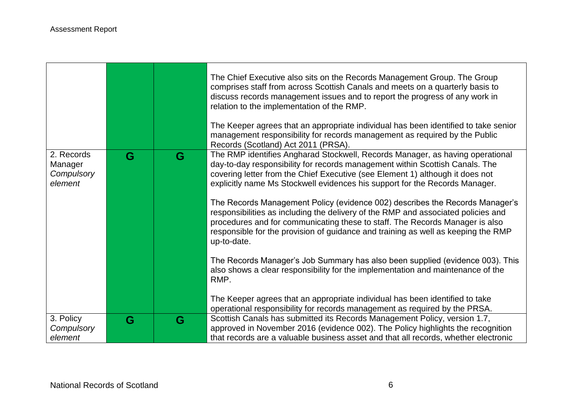|                                                |   |   | The Chief Executive also sits on the Records Management Group. The Group<br>comprises staff from across Scottish Canals and meets on a quarterly basis to<br>discuss records management issues and to report the progress of any work in<br>relation to the implementation of the RMP.<br>The Keeper agrees that an appropriate individual has been identified to take senior<br>management responsibility for records management as required by the Public                                                                                                                                                                                                                            |
|------------------------------------------------|---|---|----------------------------------------------------------------------------------------------------------------------------------------------------------------------------------------------------------------------------------------------------------------------------------------------------------------------------------------------------------------------------------------------------------------------------------------------------------------------------------------------------------------------------------------------------------------------------------------------------------------------------------------------------------------------------------------|
|                                                |   |   | Records (Scotland) Act 2011 (PRSA).                                                                                                                                                                                                                                                                                                                                                                                                                                                                                                                                                                                                                                                    |
| 2. Records<br>Manager<br>Compulsory<br>element | G | G | The RMP identifies Angharad Stockwell, Records Manager, as having operational<br>day-to-day responsibility for records management within Scottish Canals. The<br>covering letter from the Chief Executive (see Element 1) although it does not<br>explicitly name Ms Stockwell evidences his support for the Records Manager.<br>The Records Management Policy (evidence 002) describes the Records Manager's<br>responsibilities as including the delivery of the RMP and associated policies and<br>procedures and for communicating these to staff. The Records Manager is also<br>responsible for the provision of guidance and training as well as keeping the RMP<br>up-to-date. |
|                                                |   |   | The Records Manager's Job Summary has also been supplied (evidence 003). This<br>also shows a clear responsibility for the implementation and maintenance of the<br>RMP.<br>The Keeper agrees that an appropriate individual has been identified to take                                                                                                                                                                                                                                                                                                                                                                                                                               |
|                                                |   |   | operational responsibility for records management as required by the PRSA.                                                                                                                                                                                                                                                                                                                                                                                                                                                                                                                                                                                                             |
| 3. Policy                                      | G | G | Scottish Canals has submitted its Records Management Policy, version 1.7,                                                                                                                                                                                                                                                                                                                                                                                                                                                                                                                                                                                                              |
| Compulsory                                     |   |   | approved in November 2016 (evidence 002). The Policy highlights the recognition                                                                                                                                                                                                                                                                                                                                                                                                                                                                                                                                                                                                        |
| element                                        |   |   | that records are a valuable business asset and that all records, whether electronic                                                                                                                                                                                                                                                                                                                                                                                                                                                                                                                                                                                                    |

,我们也不会有什么。""我们的人,我们也不会有什么?""我们的人,我们也不会有什么?""我们的人,我们也不会有什么?""我们的人,我们也不会有什么?""我们的人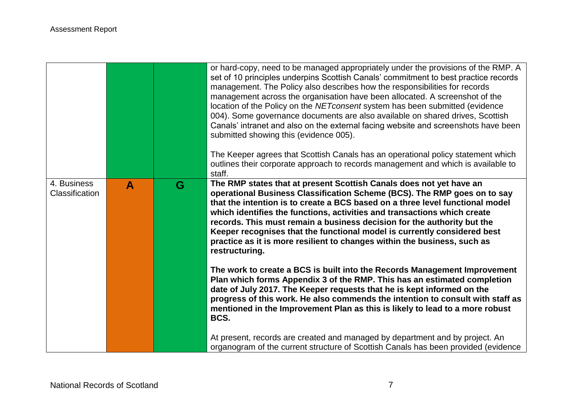|                               |   |   | or hard-copy, need to be managed appropriately under the provisions of the RMP. A<br>set of 10 principles underpins Scottish Canals' commitment to best practice records<br>management. The Policy also describes how the responsibilities for records<br>management across the organisation have been allocated. A screenshot of the<br>location of the Policy on the NET consent system has been submitted (evidence<br>004). Some governance documents are also available on shared drives, Scottish<br>Canals' intranet and also on the external facing website and screenshots have been<br>submitted showing this (evidence 005).<br>The Keeper agrees that Scottish Canals has an operational policy statement which<br>outlines their corporate approach to records management and which is available to<br>staff. |
|-------------------------------|---|---|----------------------------------------------------------------------------------------------------------------------------------------------------------------------------------------------------------------------------------------------------------------------------------------------------------------------------------------------------------------------------------------------------------------------------------------------------------------------------------------------------------------------------------------------------------------------------------------------------------------------------------------------------------------------------------------------------------------------------------------------------------------------------------------------------------------------------|
| 4. Business<br>Classification | A | G | The RMP states that at present Scottish Canals does not yet have an<br>operational Business Classification Scheme (BCS). The RMP goes on to say<br>that the intention is to create a BCS based on a three level functional model<br>which identifies the functions, activities and transactions which create<br>records. This must remain a business decision for the authority but the<br>Keeper recognises that the functional model is currently considered best<br>practice as it is more resilient to changes within the business, such as<br>restructuring.                                                                                                                                                                                                                                                          |
|                               |   |   | The work to create a BCS is built into the Records Management Improvement<br>Plan which forms Appendix 3 of the RMP. This has an estimated completion<br>date of July 2017. The Keeper requests that he is kept informed on the<br>progress of this work. He also commends the intention to consult with staff as<br>mentioned in the Improvement Plan as this is likely to lead to a more robust<br>BCS.                                                                                                                                                                                                                                                                                                                                                                                                                  |
|                               |   |   | At present, records are created and managed by department and by project. An<br>organogram of the current structure of Scottish Canals has been provided (evidence                                                                                                                                                                                                                                                                                                                                                                                                                                                                                                                                                                                                                                                         |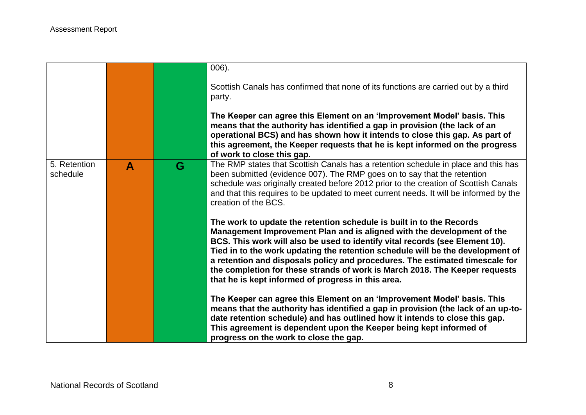|                          |   |   | $006$ ).                                                                                                                                                                                                                                                                                                                                                                                                                                                                                                                              |
|--------------------------|---|---|---------------------------------------------------------------------------------------------------------------------------------------------------------------------------------------------------------------------------------------------------------------------------------------------------------------------------------------------------------------------------------------------------------------------------------------------------------------------------------------------------------------------------------------|
|                          |   |   | Scottish Canals has confirmed that none of its functions are carried out by a third<br>party.                                                                                                                                                                                                                                                                                                                                                                                                                                         |
|                          |   |   | The Keeper can agree this Element on an 'Improvement Model' basis. This<br>means that the authority has identified a gap in provision (the lack of an<br>operational BCS) and has shown how it intends to close this gap. As part of<br>this agreement, the Keeper requests that he is kept informed on the progress<br>of work to close this gap.                                                                                                                                                                                    |
| 5. Retention<br>schedule | A | G | The RMP states that Scottish Canals has a retention schedule in place and this has<br>been submitted (evidence 007). The RMP goes on to say that the retention<br>schedule was originally created before 2012 prior to the creation of Scottish Canals<br>and that this requires to be updated to meet current needs. It will be informed by the<br>creation of the BCS.                                                                                                                                                              |
|                          |   |   | The work to update the retention schedule is built in to the Records<br>Management Improvement Plan and is aligned with the development of the<br>BCS. This work will also be used to identify vital records (see Element 10).<br>Tied in to the work updating the retention schedule will be the development of<br>a retention and disposals policy and procedures. The estimated timescale for<br>the completion for these strands of work is March 2018. The Keeper requests<br>that he is kept informed of progress in this area. |
|                          |   |   | The Keeper can agree this Element on an 'Improvement Model' basis. This<br>means that the authority has identified a gap in provision (the lack of an up-to-<br>date retention schedule) and has outlined how it intends to close this gap.<br>This agreement is dependent upon the Keeper being kept informed of<br>progress on the work to close the gap.                                                                                                                                                                           |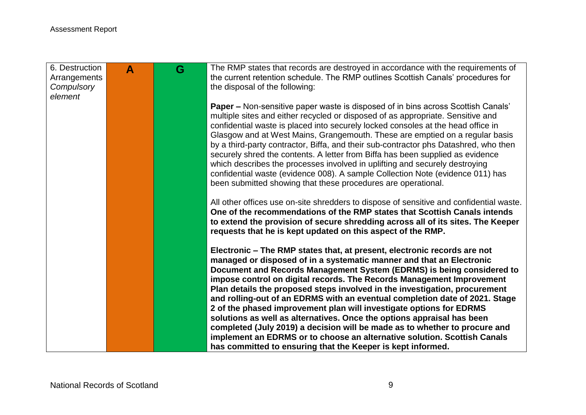| 6. Destruction<br>Arrangements<br>Compulsory | $\blacktriangle$ | G | The RMP states that records are destroyed in accordance with the requirements of<br>the current retention schedule. The RMP outlines Scottish Canals' procedures for<br>the disposal of the following:                                                                                                                                                                                                                                                                                                                                                                                                                                                                                                                                                                                                                                    |
|----------------------------------------------|------------------|---|-------------------------------------------------------------------------------------------------------------------------------------------------------------------------------------------------------------------------------------------------------------------------------------------------------------------------------------------------------------------------------------------------------------------------------------------------------------------------------------------------------------------------------------------------------------------------------------------------------------------------------------------------------------------------------------------------------------------------------------------------------------------------------------------------------------------------------------------|
| element                                      |                  |   |                                                                                                                                                                                                                                                                                                                                                                                                                                                                                                                                                                                                                                                                                                                                                                                                                                           |
|                                              |                  |   | <b>Paper –</b> Non-sensitive paper waste is disposed of in bins across Scottish Canals'<br>multiple sites and either recycled or disposed of as appropriate. Sensitive and<br>confidential waste is placed into securely locked consoles at the head office in<br>Glasgow and at West Mains, Grangemouth. These are emptied on a regular basis<br>by a third-party contractor, Biffa, and their sub-contractor phs Datashred, who then<br>securely shred the contents. A letter from Biffa has been supplied as evidence<br>which describes the processes involved in uplifting and securely destroying<br>confidential waste (evidence 008). A sample Collection Note (evidence 011) has<br>been submitted showing that these procedures are operational.                                                                                |
|                                              |                  |   | All other offices use on-site shredders to dispose of sensitive and confidential waste.<br>One of the recommendations of the RMP states that Scottish Canals intends<br>to extend the provision of secure shredding across all of its sites. The Keeper<br>requests that he is kept updated on this aspect of the RMP.                                                                                                                                                                                                                                                                                                                                                                                                                                                                                                                    |
|                                              |                  |   | Electronic – The RMP states that, at present, electronic records are not<br>managed or disposed of in a systematic manner and that an Electronic<br>Document and Records Management System (EDRMS) is being considered to<br>impose control on digital records. The Records Management Improvement<br>Plan details the proposed steps involved in the investigation, procurement<br>and rolling-out of an EDRMS with an eventual completion date of 2021. Stage<br>2 of the phased improvement plan will investigate options for EDRMS<br>solutions as well as alternatives. Once the options appraisal has been<br>completed (July 2019) a decision will be made as to whether to procure and<br>implement an EDRMS or to choose an alternative solution. Scottish Canals<br>has committed to ensuring that the Keeper is kept informed. |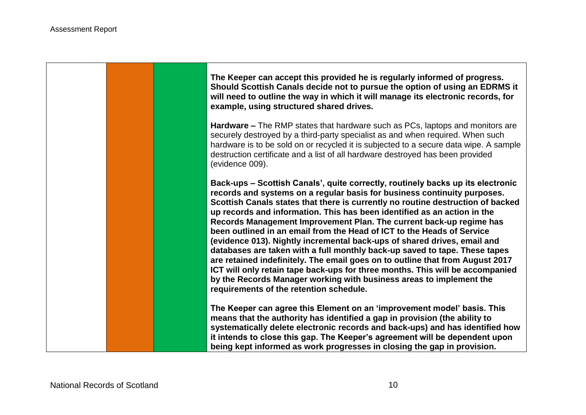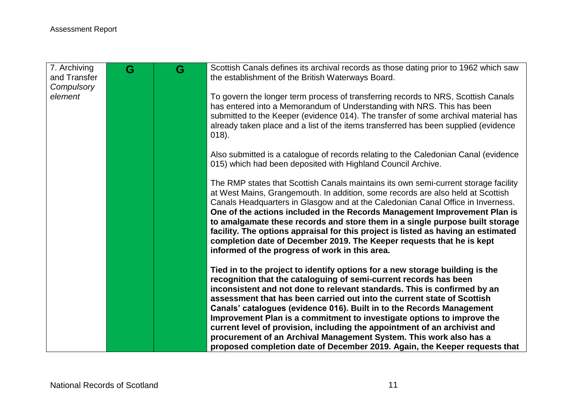| 7. Archiving<br>and Transfer<br>Compulsory | G | G | Scottish Canals defines its archival records as those dating prior to 1962 which saw<br>the establishment of the British Waterways Board.                                                                                                                                                                                                                                                                                                                                                                                                                                                                                              |
|--------------------------------------------|---|---|----------------------------------------------------------------------------------------------------------------------------------------------------------------------------------------------------------------------------------------------------------------------------------------------------------------------------------------------------------------------------------------------------------------------------------------------------------------------------------------------------------------------------------------------------------------------------------------------------------------------------------------|
| element                                    |   |   | To govern the longer term process of transferring records to NRS, Scottish Canals<br>has entered into a Memorandum of Understanding with NRS. This has been<br>submitted to the Keeper (evidence 014). The transfer of some archival material has<br>already taken place and a list of the items transferred has been supplied (evidence<br>$018$ ).                                                                                                                                                                                                                                                                                   |
|                                            |   |   | Also submitted is a catalogue of records relating to the Caledonian Canal (evidence<br>015) which had been deposited with Highland Council Archive.                                                                                                                                                                                                                                                                                                                                                                                                                                                                                    |
|                                            |   |   | The RMP states that Scottish Canals maintains its own semi-current storage facility<br>at West Mains, Grangemouth. In addition, some records are also held at Scottish<br>Canals Headquarters in Glasgow and at the Caledonian Canal Office in Inverness.<br>One of the actions included in the Records Management Improvement Plan is<br>to amalgamate these records and store them in a single purpose built storage<br>facility. The options appraisal for this project is listed as having an estimated<br>completion date of December 2019. The Keeper requests that he is kept<br>informed of the progress of work in this area. |
|                                            |   |   | Tied in to the project to identify options for a new storage building is the<br>recognition that the cataloguing of semi-current records has been<br>inconsistent and not done to relevant standards. This is confirmed by an<br>assessment that has been carried out into the current state of Scottish                                                                                                                                                                                                                                                                                                                               |
|                                            |   |   | Canals' catalogues (evidence 016). Built in to the Records Management<br>Improvement Plan is a commitment to investigate options to improve the<br>current level of provision, including the appointment of an archivist and<br>procurement of an Archival Management System. This work also has a<br>proposed completion date of December 2019. Again, the Keeper requests that                                                                                                                                                                                                                                                       |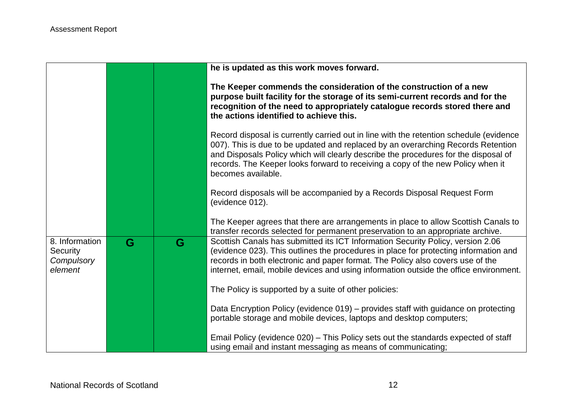|                                                     |   |   | he is updated as this work moves forward.                                                                                                                                                                                                                                                                                                                                  |
|-----------------------------------------------------|---|---|----------------------------------------------------------------------------------------------------------------------------------------------------------------------------------------------------------------------------------------------------------------------------------------------------------------------------------------------------------------------------|
|                                                     |   |   | The Keeper commends the consideration of the construction of a new<br>purpose built facility for the storage of its semi-current records and for the<br>recognition of the need to appropriately catalogue records stored there and<br>the actions identified to achieve this.                                                                                             |
|                                                     |   |   | Record disposal is currently carried out in line with the retention schedule (evidence<br>007). This is due to be updated and replaced by an overarching Records Retention<br>and Disposals Policy which will clearly describe the procedures for the disposal of<br>records. The Keeper looks forward to receiving a copy of the new Policy when it<br>becomes available. |
|                                                     |   |   | Record disposals will be accompanied by a Records Disposal Request Form<br>(evidence 012).                                                                                                                                                                                                                                                                                 |
|                                                     |   |   | The Keeper agrees that there are arrangements in place to allow Scottish Canals to<br>transfer records selected for permanent preservation to an appropriate archive.                                                                                                                                                                                                      |
| 8. Information<br>Security<br>Compulsory<br>element | G | G | Scottish Canals has submitted its ICT Information Security Policy, version 2.06<br>(evidence 023). This outlines the procedures in place for protecting information and<br>records in both electronic and paper format. The Policy also covers use of the<br>internet, email, mobile devices and using information outside the office environment.                         |
|                                                     |   |   | The Policy is supported by a suite of other policies:                                                                                                                                                                                                                                                                                                                      |
|                                                     |   |   | Data Encryption Policy (evidence 019) – provides staff with guidance on protecting<br>portable storage and mobile devices, laptops and desktop computers;                                                                                                                                                                                                                  |
|                                                     |   |   | Email Policy (evidence 020) – This Policy sets out the standards expected of staff<br>using email and instant messaging as means of communicating;                                                                                                                                                                                                                         |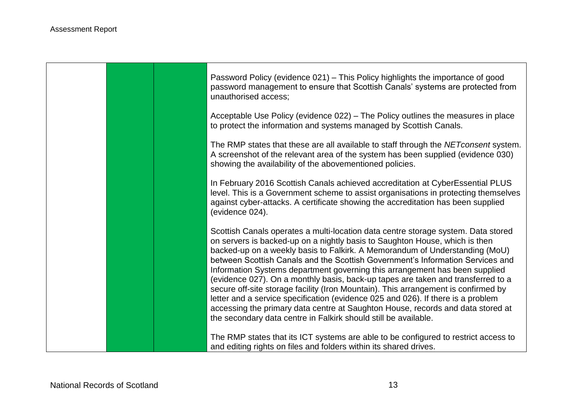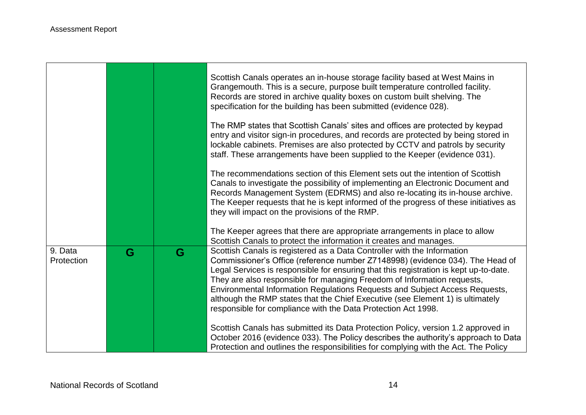and the control of the control of the control of the control of the control of the control of

**Contract Contract** 

 $\blacksquare$ 

|                       |   |   | Scottish Canals operates an in-house storage facility based at West Mains in<br>Grangemouth. This is a secure, purpose built temperature controlled facility.<br>Records are stored in archive quality boxes on custom built shelving. The<br>specification for the building has been submitted (evidence 028).                                                                                                                                                                                                                                                |
|-----------------------|---|---|----------------------------------------------------------------------------------------------------------------------------------------------------------------------------------------------------------------------------------------------------------------------------------------------------------------------------------------------------------------------------------------------------------------------------------------------------------------------------------------------------------------------------------------------------------------|
|                       |   |   | The RMP states that Scottish Canals' sites and offices are protected by keypad<br>entry and visitor sign-in procedures, and records are protected by being stored in<br>lockable cabinets. Premises are also protected by CCTV and patrols by security<br>staff. These arrangements have been supplied to the Keeper (evidence 031).                                                                                                                                                                                                                           |
|                       |   |   | The recommendations section of this Element sets out the intention of Scottish<br>Canals to investigate the possibility of implementing an Electronic Document and<br>Records Management System (EDRMS) and also re-locating its in-house archive.<br>The Keeper requests that he is kept informed of the progress of these initiatives as<br>they will impact on the provisions of the RMP.<br>The Keeper agrees that there are appropriate arrangements in place to allow                                                                                    |
|                       |   |   | Scottish Canals to protect the information it creates and manages.                                                                                                                                                                                                                                                                                                                                                                                                                                                                                             |
| 9. Data<br>Protection | G | G | Scottish Canals is registered as a Data Controller with the Information<br>Commissioner's Office (reference number Z7148998) (evidence 034). The Head of<br>Legal Services is responsible for ensuring that this registration is kept up-to-date.<br>They are also responsible for managing Freedom of Information requests,<br>Environmental Information Regulations Requests and Subject Access Requests,<br>although the RMP states that the Chief Executive (see Element 1) is ultimately<br>responsible for compliance with the Data Protection Act 1998. |
|                       |   |   | Scottish Canals has submitted its Data Protection Policy, version 1.2 approved in<br>October 2016 (evidence 033). The Policy describes the authority's approach to Data<br>Protection and outlines the responsibilities for complying with the Act. The Policy                                                                                                                                                                                                                                                                                                 |

┑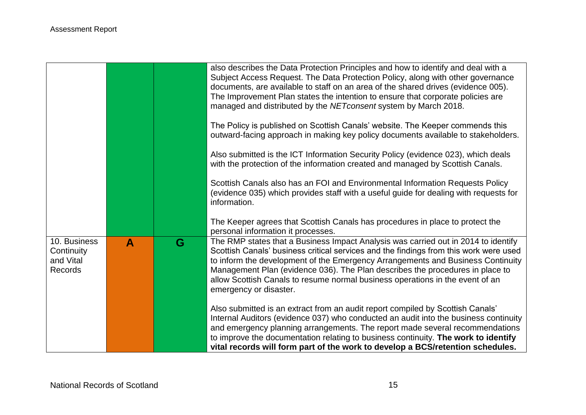|                                                           |                  |   | also describes the Data Protection Principles and how to identify and deal with a<br>Subject Access Request. The Data Protection Policy, along with other governance<br>documents, are available to staff on an area of the shared drives (evidence 005).<br>The Improvement Plan states the intention to ensure that corporate policies are<br>managed and distributed by the NET consent system by March 2018.                                           |
|-----------------------------------------------------------|------------------|---|------------------------------------------------------------------------------------------------------------------------------------------------------------------------------------------------------------------------------------------------------------------------------------------------------------------------------------------------------------------------------------------------------------------------------------------------------------|
|                                                           |                  |   | The Policy is published on Scottish Canals' website. The Keeper commends this<br>outward-facing approach in making key policy documents available to stakeholders.                                                                                                                                                                                                                                                                                         |
|                                                           |                  |   | Also submitted is the ICT Information Security Policy (evidence 023), which deals<br>with the protection of the information created and managed by Scottish Canals.                                                                                                                                                                                                                                                                                        |
|                                                           |                  |   | Scottish Canals also has an FOI and Environmental Information Requests Policy<br>(evidence 035) which provides staff with a useful guide for dealing with requests for<br>information.                                                                                                                                                                                                                                                                     |
|                                                           |                  |   | The Keeper agrees that Scottish Canals has procedures in place to protect the<br>personal information it processes.                                                                                                                                                                                                                                                                                                                                        |
| 10. Business<br>Continuity<br>and Vital<br><b>Records</b> | $\blacktriangle$ | G | The RMP states that a Business Impact Analysis was carried out in 2014 to identify<br>Scottish Canals' business critical services and the findings from this work were used<br>to inform the development of the Emergency Arrangements and Business Continuity<br>Management Plan (evidence 036). The Plan describes the procedures in place to<br>allow Scottish Canals to resume normal business operations in the event of an<br>emergency or disaster. |
|                                                           |                  |   | Also submitted is an extract from an audit report compiled by Scottish Canals'<br>Internal Auditors (evidence 037) who conducted an audit into the business continuity<br>and emergency planning arrangements. The report made several recommendations<br>to improve the documentation relating to business continuity. The work to identify<br>vital records will form part of the work to develop a BCS/retention schedules.                             |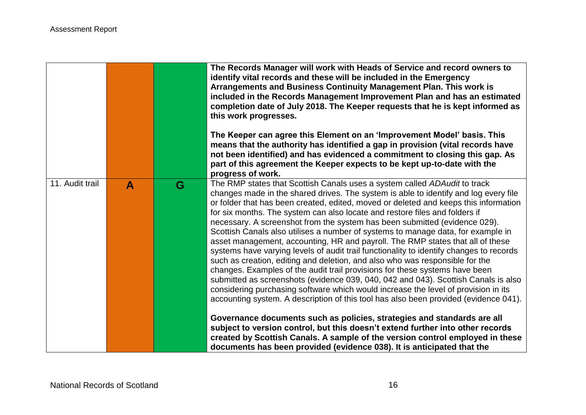|                 |   |   | The Records Manager will work with Heads of Service and record owners to<br>identify vital records and these will be included in the Emergency<br>Arrangements and Business Continuity Management Plan. This work is<br>included in the Records Management Improvement Plan and has an estimated<br>completion date of July 2018. The Keeper requests that he is kept informed as<br>this work progresses.<br>The Keeper can agree this Element on an 'Improvement Model' basis. This<br>means that the authority has identified a gap in provision (vital records have<br>not been identified) and has evidenced a commitment to closing this gap. As<br>part of this agreement the Keeper expects to be kept up-to-date with the<br>progress of work.                                                                                                                                                                                                                                                                                                                                                                                                                                                                                                                                 |
|-----------------|---|---|-----------------------------------------------------------------------------------------------------------------------------------------------------------------------------------------------------------------------------------------------------------------------------------------------------------------------------------------------------------------------------------------------------------------------------------------------------------------------------------------------------------------------------------------------------------------------------------------------------------------------------------------------------------------------------------------------------------------------------------------------------------------------------------------------------------------------------------------------------------------------------------------------------------------------------------------------------------------------------------------------------------------------------------------------------------------------------------------------------------------------------------------------------------------------------------------------------------------------------------------------------------------------------------------|
| 11. Audit trail | A | G | The RMP states that Scottish Canals uses a system called ADAudit to track<br>changes made in the shared drives. The system is able to identify and log every file<br>or folder that has been created, edited, moved or deleted and keeps this information<br>for six months. The system can also locate and restore files and folders if<br>necessary. A screenshot from the system has been submitted (evidence 029).<br>Scottish Canals also utilises a number of systems to manage data, for example in<br>asset management, accounting, HR and payroll. The RMP states that all of these<br>systems have varying levels of audit trail functionality to identify changes to records<br>such as creation, editing and deletion, and also who was responsible for the<br>changes. Examples of the audit trail provisions for these systems have been<br>submitted as screenshots (evidence 039, 040, 042 and 043). Scottish Canals is also<br>considering purchasing software which would increase the level of provision in its<br>accounting system. A description of this tool has also been provided (evidence 041).<br>Governance documents such as policies, strategies and standards are all<br>subject to version control, but this doesn't extend further into other records |
|                 |   |   | created by Scottish Canals. A sample of the version control employed in these<br>documents has been provided (evidence 038). It is anticipated that the                                                                                                                                                                                                                                                                                                                                                                                                                                                                                                                                                                                                                                                                                                                                                                                                                                                                                                                                                                                                                                                                                                                                 |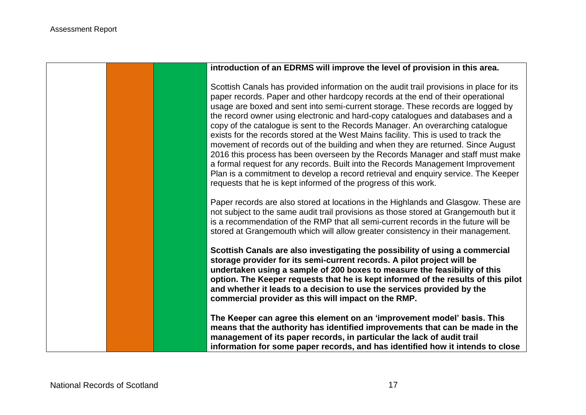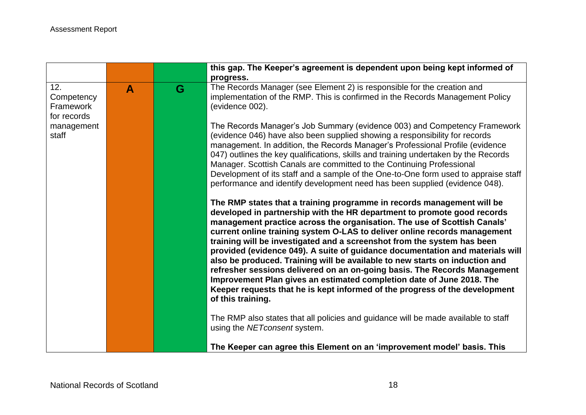|                                               |              |   | this gap. The Keeper's agreement is dependent upon being kept informed of<br>progress.                                                                                                                                                                                                                                                                                                                                                                                                                                                                                                                                                                                                                                                                                                                          |
|-----------------------------------------------|--------------|---|-----------------------------------------------------------------------------------------------------------------------------------------------------------------------------------------------------------------------------------------------------------------------------------------------------------------------------------------------------------------------------------------------------------------------------------------------------------------------------------------------------------------------------------------------------------------------------------------------------------------------------------------------------------------------------------------------------------------------------------------------------------------------------------------------------------------|
| 12.<br>Competency<br>Framework<br>for records | $\mathbf{A}$ | G | The Records Manager (see Element 2) is responsible for the creation and<br>implementation of the RMP. This is confirmed in the Records Management Policy<br>(evidence 002).                                                                                                                                                                                                                                                                                                                                                                                                                                                                                                                                                                                                                                     |
| management<br>staff                           |              |   | The Records Manager's Job Summary (evidence 003) and Competency Framework<br>(evidence 046) have also been supplied showing a responsibility for records<br>management. In addition, the Records Manager's Professional Profile (evidence<br>047) outlines the key qualifications, skills and training undertaken by the Records<br>Manager. Scottish Canals are committed to the Continuing Professional<br>Development of its staff and a sample of the One-to-One form used to appraise staff<br>performance and identify development need has been supplied (evidence 048).                                                                                                                                                                                                                                 |
|                                               |              |   | The RMP states that a training programme in records management will be<br>developed in partnership with the HR department to promote good records<br>management practice across the organisation. The use of Scottish Canals'<br>current online training system O-LAS to deliver online records management<br>training will be investigated and a screenshot from the system has been<br>provided (evidence 049). A suite of guidance documentation and materials will<br>also be produced. Training will be available to new starts on induction and<br>refresher sessions delivered on an on-going basis. The Records Management<br>Improvement Plan gives an estimated completion date of June 2018. The<br>Keeper requests that he is kept informed of the progress of the development<br>of this training. |
|                                               |              |   | The RMP also states that all policies and guidance will be made available to staff<br>using the NETconsent system.                                                                                                                                                                                                                                                                                                                                                                                                                                                                                                                                                                                                                                                                                              |
|                                               |              |   | The Keeper can agree this Element on an 'improvement model' basis. This                                                                                                                                                                                                                                                                                                                                                                                                                                                                                                                                                                                                                                                                                                                                         |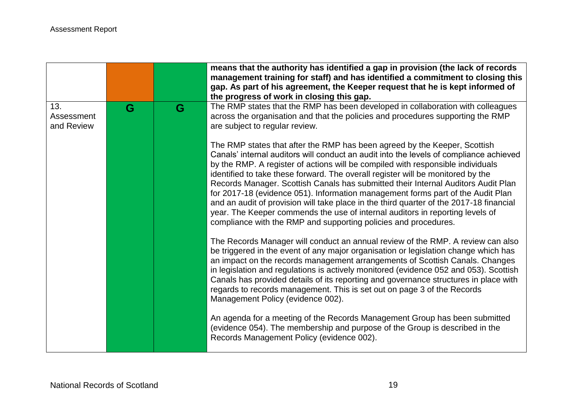|                                 |   |   | means that the authority has identified a gap in provision (the lack of records<br>management training for staff) and has identified a commitment to closing this<br>gap. As part of his agreement, the Keeper request that he is kept informed of<br>the progress of work in closing this gap.                                                                                                                                                                                                                                                                                                                                                                                                                                                                  |
|---------------------------------|---|---|------------------------------------------------------------------------------------------------------------------------------------------------------------------------------------------------------------------------------------------------------------------------------------------------------------------------------------------------------------------------------------------------------------------------------------------------------------------------------------------------------------------------------------------------------------------------------------------------------------------------------------------------------------------------------------------------------------------------------------------------------------------|
| 13.<br>Assessment<br>and Review | G | G | The RMP states that the RMP has been developed in collaboration with colleagues<br>across the organisation and that the policies and procedures supporting the RMP<br>are subject to regular review.                                                                                                                                                                                                                                                                                                                                                                                                                                                                                                                                                             |
|                                 |   |   | The RMP states that after the RMP has been agreed by the Keeper, Scottish<br>Canals' internal auditors will conduct an audit into the levels of compliance achieved<br>by the RMP. A register of actions will be compiled with responsible individuals<br>identified to take these forward. The overall register will be monitored by the<br>Records Manager. Scottish Canals has submitted their Internal Auditors Audit Plan<br>for 2017-18 (evidence 051). Information management forms part of the Audit Plan<br>and an audit of provision will take place in the third quarter of the 2017-18 financial<br>year. The Keeper commends the use of internal auditors in reporting levels of<br>compliance with the RMP and supporting policies and procedures. |
|                                 |   |   | The Records Manager will conduct an annual review of the RMP. A review can also<br>be triggered in the event of any major organisation or legislation change which has<br>an impact on the records management arrangements of Scottish Canals. Changes<br>in legislation and regulations is actively monitored (evidence 052 and 053). Scottish<br>Canals has provided details of its reporting and governance structures in place with<br>regards to records management. This is set out on page 3 of the Records<br>Management Policy (evidence 002).                                                                                                                                                                                                          |
|                                 |   |   | An agenda for a meeting of the Records Management Group has been submitted<br>(evidence 054). The membership and purpose of the Group is described in the<br>Records Management Policy (evidence 002).                                                                                                                                                                                                                                                                                                                                                                                                                                                                                                                                                           |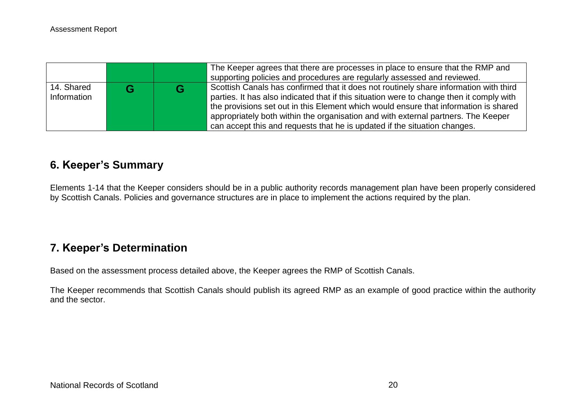|                           |  | The Keeper agrees that there are processes in place to ensure that the RMP and<br>supporting policies and procedures are regularly assessed and reviewed.                                                                                                                                                                                                                                                                                   |
|---------------------------|--|---------------------------------------------------------------------------------------------------------------------------------------------------------------------------------------------------------------------------------------------------------------------------------------------------------------------------------------------------------------------------------------------------------------------------------------------|
| 14. Shared<br>Information |  | Scottish Canals has confirmed that it does not routinely share information with third<br>parties. It has also indicated that if this situation were to change then it comply with<br>the provisions set out in this Element which would ensure that information is shared<br>appropriately both within the organisation and with external partners. The Keeper<br>can accept this and requests that he is updated if the situation changes. |

## **6. Keeper's Summary**

Elements 1-14 that the Keeper considers should be in a public authority records management plan have been properly considered by Scottish Canals. Policies and governance structures are in place to implement the actions required by the plan.

## **7. Keeper's Determination**

Based on the assessment process detailed above, the Keeper agrees the RMP of Scottish Canals.

The Keeper recommends that Scottish Canals should publish its agreed RMP as an example of good practice within the authority and the sector.